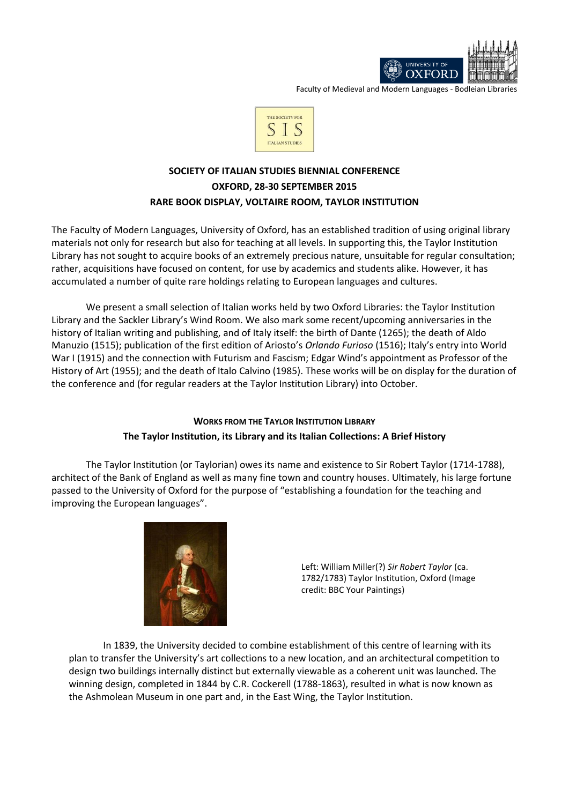

Faculty of Medieval and Modern Languages - Bodleian Libraries



# **SOCIETY OF ITALIAN STUDIES BIENNIAL CONFERENCE OXFORD, 28-30 SEPTEMBER 2015 RARE BOOK DISPLAY, VOLTAIRE ROOM, TAYLOR INSTITUTION**

The Faculty of Modern Languages, University of Oxford, has an established tradition of using original library materials not only for research but also for teaching at all levels. In supporting this, the Taylor Institution Library has not sought to acquire books of an extremely precious nature, unsuitable for regular consultation; rather, acquisitions have focused on content, for use by academics and students alike. However, it has accumulated a number of quite rare holdings relating to European languages and cultures.

We present a small selection of Italian works held by two Oxford Libraries: the Taylor Institution Library and the Sackler Library's Wind Room. We also mark some recent/upcoming anniversaries in the history of Italian writing and publishing, and of Italy itself: the birth of Dante (1265); the death of Aldo Manuzio (1515); publication of the first edition of Ariosto's *Orlando Furioso* (1516); Italy's entry into World War I (1915) and the connection with Futurism and Fascism; Edgar Wind's appointment as Professor of the History of Art (1955); and the death of Italo Calvino (1985). These works will be on display for the duration of the conference and (for regular readers at the Taylor Institution Library) into October.

# **WORKS FROM THE TAYLOR INSTITUTION LIBRARY The Taylor Institution, its Library and its Italian Collections: A Brief History**

The Taylor Institution (or Taylorian) owes its name and existence to Sir Robert Taylor (1714-1788), architect of the Bank of England as well as many fine town and country houses. Ultimately, his large fortune passed to the University of Oxford for the purpose of "establishing a foundation for the teaching and improving the European languages".



Left: William Miller(?) *Sir Robert Taylor* (ca. 1782/1783) Taylor Institution, Oxford (Image credit: BBC Your Paintings)

In 1839, the University decided to combine establishment of this centre of learning with its plan to transfer the University's art collections to a new location, and an architectural competition to design two buildings internally distinct but externally viewable as a coherent unit was launched. The winning design, completed in 1844 by C.R. Cockerell (1788-1863), resulted in what is now known as the Ashmolean Museum in one part and, in the East Wing, the Taylor Institution.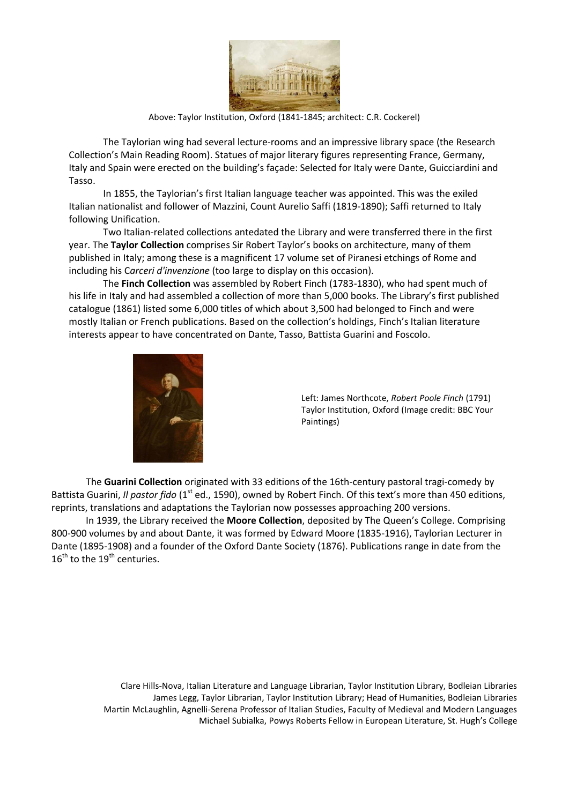

Above: Taylor Institution, Oxford (1841-1845; architect: C.R. Cockerel)

The Taylorian wing had several lecture-rooms and an impressive library space (the Research Collection's Main Reading Room). Statues of major literary figures representing France, Germany, Italy and Spain were erected on the building's façade: Selected for Italy were Dante, Guicciardini and Tasso.

In 1855, the Taylorian's first Italian language teacher was appointed. This was the exiled Italian nationalist and follower of Mazzini, Count Aurelio Saffi (1819-1890); Saffi returned to Italy following Unification.

Two Italian-related collections antedated the Library and were transferred there in the first year. The **Taylor Collection** comprises Sir Robert Taylor's books on architecture, many of them published in Italy; among these is a magnificent 17 volume set of Piranesi etchings of Rome and including his C*arceri d'invenzione* (too large to display on this occasion).

The **Finch Collection** was assembled by Robert Finch (1783-1830), who had spent much of his life in Italy and had assembled a collection of more than 5,000 books. The Library's first published catalogue (1861) listed some 6,000 titles of which about 3,500 had belonged to Finch and were mostly Italian or French publications. Based on the collection's holdings, Finch's Italian literature interests appear to have concentrated on Dante, Tasso, Battista Guarini and Foscolo.



Left: James Northcote, *Robert Poole Finch* (1791) Taylor Institution, Oxford (Image credit: BBC Your Paintings)

The **Guarini Collection** originated with 33 editions of the 16th-century pastoral tragi-comedy by Battista Guarini, *Il pastor fido* (1<sup>st</sup> ed., 1590), owned by Robert Finch. Of this text's more than 450 editions, reprints, translations and adaptations the Taylorian now possesses approaching 200 versions.

In 1939, the Library received the **Moore Collection**, deposited by The Queen's College. Comprising 800-900 volumes by and about Dante, it was formed by Edward Moore (1835-1916), Taylorian Lecturer in Dante (1895-1908) and a founder of the Oxford Dante Society (1876). Publications range in date from the  $16<sup>th</sup>$  to the  $19<sup>th</sup>$  centuries.

> Clare Hills-Nova, Italian Literature and Language Librarian, Taylor Institution Library, Bodleian Libraries James Legg, Taylor Librarian, Taylor Institution Library; Head of Humanities, Bodleian Libraries Martin McLaughlin, Agnelli-Serena Professor of Italian Studies, Faculty of Medieval and Modern Languages Michael Subialka, Powys Roberts Fellow in European Literature, St. Hugh's College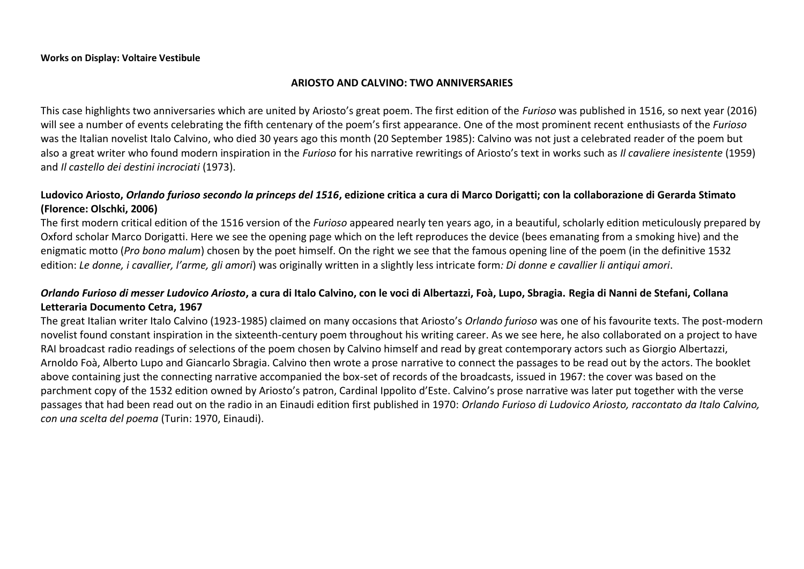## **ARIOSTO AND CALVINO: TWO ANNIVERSARIES**

This case highlights two anniversaries which are united by Ariosto's great poem. The first edition of the *Furioso* was published in 1516, so next year (2016) will see a number of events celebrating the fifth centenary of the poem's first appearance. One of the most prominent recent enthusiasts of the *Furioso* was the Italian novelist Italo Calvino, who died 30 years ago this month (20 September 1985): Calvino was not just a celebrated reader of the poem but also a great writer who found modern inspiration in the *Furioso* for his narrative rewritings of Ariosto's text in works such as *Il cavaliere inesistente* (1959) and *Il castello dei destini incrociati* (1973).

# **Ludovico Ariosto,** *Orlando furioso secondo la princeps del 1516***, edizione critica a cura di Marco Dorigatti; con la collaborazione di Gerarda Stimato (Florence: Olschki, 2006)**

The first modern critical edition of the 1516 version of the *Furioso* appeared nearly ten years ago, in a beautiful, scholarly edition meticulously prepared by Oxford scholar Marco Dorigatti. Here we see the opening page which on the left reproduces the device (bees emanating from a smoking hive) and the enigmatic motto (*Pro bono malum*) chosen by the poet himself. On the right we see that the famous opening line of the poem (in the definitive 1532 edition: *Le donne, i cavallier, l'arme, gli amori*) was originally written in a slightly less intricate form*: Di donne e cavallier li antiqui amori*.

# *Orlando Furioso di messer Ludovico Ariosto***, a cura di Italo Calvino, con le voci di Albertazzi, Foà, Lupo, Sbragia. Regia di Nanni de Stefani, Collana Letteraria Documento Cetra, 1967**

The great Italian writer Italo Calvino (1923-1985) claimed on many occasions that Ariosto's *Orlando furioso* was one of his favourite texts. The post-modern novelist found constant inspiration in the sixteenth-century poem throughout his writing career. As we see here, he also collaborated on a project to have RAI broadcast radio readings of selections of the poem chosen by Calvino himself and read by great contemporary actors such as Giorgio Albertazzi, Arnoldo Foà, Alberto Lupo and Giancarlo Sbragia. Calvino then wrote a prose narrative to connect the passages to be read out by the actors. The booklet above containing just the connecting narrative accompanied the box-set of records of the broadcasts, issued in 1967: the cover was based on the parchment copy of the 1532 edition owned by Ariosto's patron, Cardinal Ippolito d'Este. Calvino's prose narrative was later put together with the verse passages that had been read out on the radio in an Einaudi edition first published in 1970: *Orlando Furioso di Ludovico Ariosto, raccontato da Italo Calvino, con una scelta del poema* (Turin: 1970, Einaudi).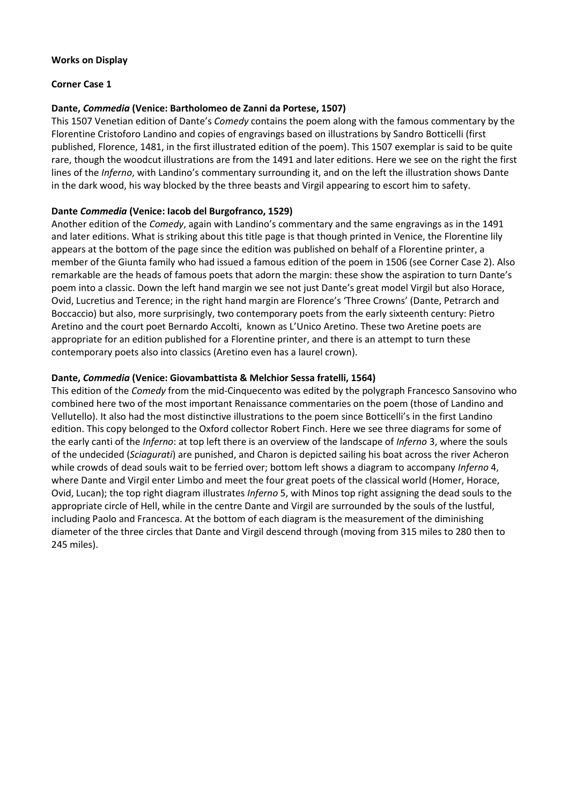# **Works on Display**

# **Corner Case 1**

# **Dante,** *Commedia* **(Venice: Bartholomeo de Zanni da Portese, 1507)**

This 1507 Venetian edition of Dante's *Comedy* contains the poem along with the famous commentary by the Florentine Cristoforo Landino and copies of engravings based on illustrations by Sandro Botticelli (first published, Florence, 1481, in the first illustrated edition of the poem). This 1507 exemplar is said to be quite rare, though the woodcut illustrations are from the 1491 and later editions. Here we see on the right the first lines of the *Inferno*, with Landino's commentary surrounding it, and on the left the illustration shows Dante in the dark wood, his way blocked by the three beasts and Virgil appearing to escort him to safety.

# **Dante** *Commedia* **(Venice: Iacob del Burgofranco, 1529)**

Another edition of the *Comedy*, again with Landino's commentary and the same engravings as in the 1491 and later editions. What is striking about this title page is that though printed in Venice, the Florentine lily appears at the bottom of the page since the edition was published on behalf of a Florentine printer, a member of the Giunta family who had issued a famous edition of the poem in 1506 (see Corner Case 2). Also remarkable are the heads of famous poets that adorn the margin: these show the aspiration to turn Dante's poem into a classic. Down the left hand margin we see not just Dante's great model Virgil but also Horace, Ovid, Lucretius and Terence; in the right hand margin are Florence's 'Three Crowns' (Dante, Petrarch and Boccaccio) but also, more surprisingly, two contemporary poets from the early sixteenth century: Pietro Aretino and the court poet Bernardo Accolti, known as L'Unico Aretino. These two Aretine poets are appropriate for an edition published for a Florentine printer, and there is an attempt to turn these contemporary poets also into classics (Aretino even has a laurel crown).

# **Dante,** *Commedia* **(Venice: Giovambattista & Melchior Sessa fratelli, 1564)**

This edition of the *Comedy* from the mid-Cinquecento was edited by the polygraph Francesco Sansovino who combined here two of the most important Renaissance commentaries on the poem (those of Landino and Vellutello). It also had the most distinctive illustrations to the poem since Botticelli's in the first Landino edition. This copy belonged to the Oxford collector Robert Finch. Here we see three diagrams for some of the early canti of the *Inferno*: at top left there is an overview of the landscape of *Inferno* 3, where the souls of the undecided (*Sciagurati*) are punished, and Charon is depicted sailing his boat across the river Acheron while crowds of dead souls wait to be ferried over; bottom left shows a diagram to accompany *Inferno* 4, where Dante and Virgil enter Limbo and meet the four great poets of the classical world (Homer, Horace, Ovid, Lucan); the top right diagram illustrates *Inferno* 5, with Minos top right assigning the dead souls to the appropriate circle of Hell, while in the centre Dante and Virgil are surrounded by the souls of the lustful, including Paolo and Francesca. At the bottom of each diagram is the measurement of the diminishing diameter of the three circles that Dante and Virgil descend through (moving from 315 miles to 280 then to 245 miles).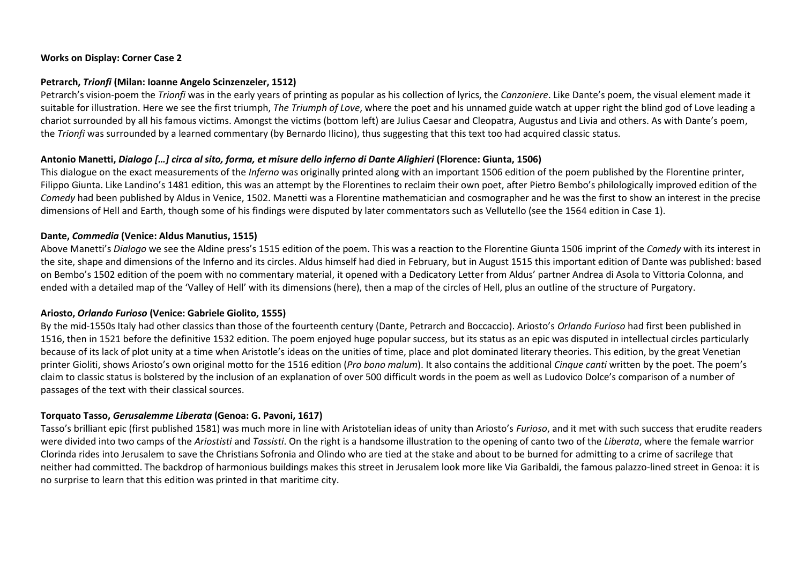## **Works on Display: Corner Case 2**

### **Petrarch,** *Trionfi* **(Milan: Ioanne Angelo Scinzenzeler, 1512)**

Petrarch's vision-poem the *Trionfi* was in the early years of printing as popular as his collection of lyrics, the *Canzoniere*. Like Dante's poem, the visual element made it suitable for illustration. Here we see the first triumph, *The Triumph of Love*, where the poet and his unnamed guide watch at upper right the blind god of Love leading a chariot surrounded by all his famous victims. Amongst the victims (bottom left) are Julius Caesar and Cleopatra, Augustus and Livia and others. As with Dante's poem, the *Trionfi* was surrounded by a learned commentary (by Bernardo Ilicino), thus suggesting that this text too had acquired classic status.

## **Antonio Manetti,** *Dialogo […] circa al sito, forma, et misure dello inferno di Dante Alighieri* **(Florence: Giunta, 1506)**

This dialogue on the exact measurements of the *Inferno* was originally printed along with an important 1506 edition of the poem published by the Florentine printer, Filippo Giunta. Like Landino's 1481 edition, this was an attempt by the Florentines to reclaim their own poet, after Pietro Bembo's philologically improved edition of the *Comedy* had been published by Aldus in Venice, 1502. Manetti was a Florentine mathematician and cosmographer and he was the first to show an interest in the precise dimensions of Hell and Earth, though some of his findings were disputed by later commentators such as Vellutello (see the 1564 edition in Case 1).

## **Dante,** *Commedia* **(Venice: Aldus Manutius, 1515)**

Above Manetti's *Dialogo* we see the Aldine press's 1515 edition of the poem. This was a reaction to the Florentine Giunta 1506 imprint of the *Comedy* with its interest in the site, shape and dimensions of the Inferno and its circles. Aldus himself had died in February, but in August 1515 this important edition of Dante was published: based on Bembo's 1502 edition of the poem with no commentary material, it opened with a Dedicatory Letter from Aldus' partner Andrea di Asola to Vittoria Colonna, and ended with a detailed map of the 'Valley of Hell' with its dimensions (here), then a map of the circles of Hell, plus an outline of the structure of Purgatory.

# **Ariosto,** *Orlando Furioso* **(Venice: Gabriele Giolito, 1555)**

By the mid-1550s Italy had other classics than those of the fourteenth century (Dante, Petrarch and Boccaccio). Ariosto's *Orlando Furioso* had first been published in 1516, then in 1521 before the definitive 1532 edition. The poem enjoyed huge popular success, but its status as an epic was disputed in intellectual circles particularly because of its lack of plot unity at a time when Aristotle's ideas on the unities of time, place and plot dominated literary theories. This edition, by the great Venetian printer Gioliti, shows Ariosto's own original motto for the 1516 edition (*Pro bono malum*). It also contains the additional *Cinque canti* written by the poet. The poem's claim to classic status is bolstered by the inclusion of an explanation of over 500 difficult words in the poem as well as Ludovico Dolce's comparison of a number of passages of the text with their classical sources.

## **Torquato Tasso,** *Gerusalemme Liberata* **(Genoa: G. Pavoni, 1617)**

Tasso's brilliant epic (first published 1581) was much more in line with Aristotelian ideas of unity than Ariosto's *Furioso*, and it met with such success that erudite readers were divided into two camps of the *Ariostisti* and *Tassisti*. On the right is a handsome illustration to the opening of canto two of the *Liberata*, where the female warrior Clorinda rides into Jerusalem to save the Christians Sofronia and Olindo who are tied at the stake and about to be burned for admitting to a crime of sacrilege that neither had committed. The backdrop of harmonious buildings makes this street in Jerusalem look more like Via Garibaldi, the famous palazzo-lined street in Genoa: it is no surprise to learn that this edition was printed in that maritime city.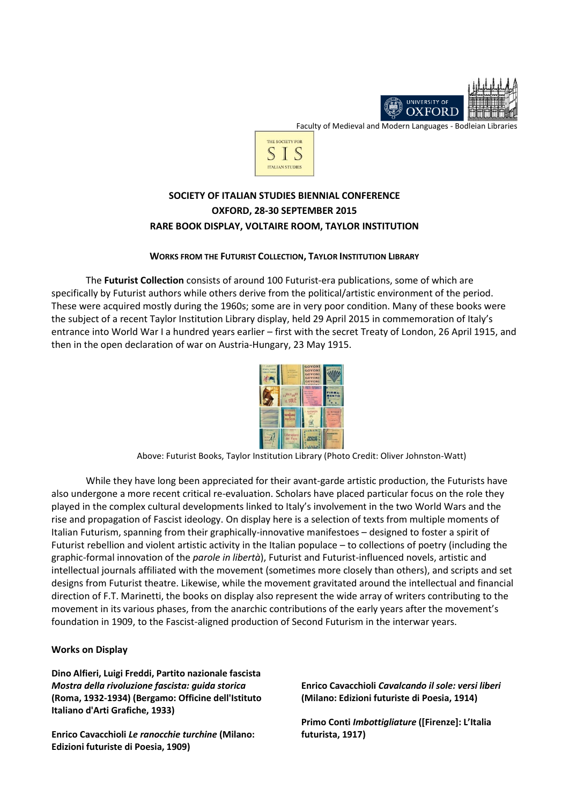

Faculty of Medieval and Modern Languages - Bodleian Libraries



# **SOCIETY OF ITALIAN STUDIES BIENNIAL CONFERENCE OXFORD, 28-30 SEPTEMBER 2015 RARE BOOK DISPLAY, VOLTAIRE ROOM, TAYLOR INSTITUTION**

#### **WORKS FROM THE FUTURIST COLLECTION, TAYLOR INSTITUTION LIBRARY**

The **Futurist Collection** consists of around 100 Futurist-era publications, some of which are specifically by Futurist authors while others derive from the political/artistic environment of the period. These were acquired mostly during the 1960s; some are in very poor condition. Many of these books were the subject of a recent Taylor Institution Library display, held 29 April 2015 in commemoration of Italy's entrance into World War I a hundred years earlier – first with the secret Treaty of London, 26 April 1915, and then in the open declaration of war on Austria-Hungary, 23 May 1915.



Above: Futurist Books, Taylor Institution Library (Photo Credit: Oliver Johnston-Watt)

While they have long been appreciated for their avant-garde artistic production, the Futurists have also undergone a more recent critical re-evaluation. Scholars have placed particular focus on the role they played in the complex cultural developments linked to Italy's involvement in the two World Wars and the rise and propagation of Fascist ideology. On display here is a selection of texts from multiple moments of Italian Futurism, spanning from their graphically-innovative manifestoes – designed to foster a spirit of Futurist rebellion and violent artistic activity in the Italian populace – to collections of poetry (including the graphic-formal innovation of the *parole in libertà*), Futurist and Futurist-influenced novels, artistic and intellectual journals affiliated with the movement (sometimes more closely than others), and scripts and set designs from Futurist theatre. Likewise, while the movement gravitated around the intellectual and financial direction of F.T. Marinetti, the books on display also represent the wide array of writers contributing to the movement in its various phases, from the anarchic contributions of the early years after the movement's foundation in 1909, to the Fascist-aligned production of Second Futurism in the interwar years.

#### **Works on Display**

**Dino Alfieri, Luigi Freddi, Partito nazionale fascista** *Mostra della rivoluzione fascista: guida storica* **(Roma, 1932-1934) (Bergamo: Officine dell'Istituto Italiano d'Arti Grafiche, 1933)**

**Enrico Cavacchioli** *[Le ranocchie turchine](http://solo-prd.bodleian.ox.ac.uk/primo_library/libweb/action/dlDisplay.do?vid=OXVU1&afterPDS=true&institution=OX&docId=oxfaleph012302371)* **(Milano: Edizioni futuriste di Poesia, 1909)**

**Enrico Cavacchioli** *[Cavalcando il sole: versi liberi](http://solo-prd.bodleian.ox.ac.uk/primo_library/libweb/action/display.do?fn=display&dscnt=0&searchByRemote=false&fullDisplay=&scp.scps=&doc=oxfaleph010174012&displayMode=full&dstmp=1442673744729&vid=OXVU1&fn=eshelfEmail&displayLang=en_US)* **(Milano: Edizioni futuriste di Poesia, 1914)**

**Primo Conti** *Imbottigliature* **([Firenze]: L'Italia futurista, 1917)**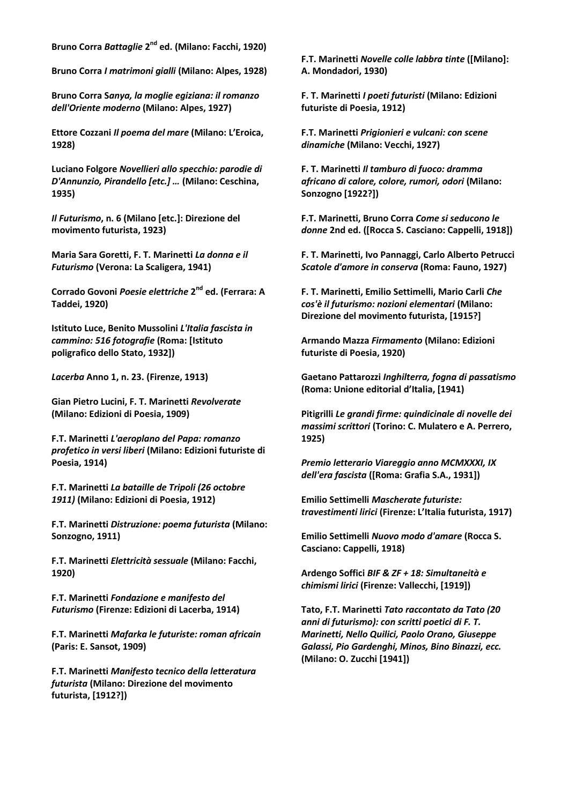**Bruno Corra** *Battaglie* **2 nd [ed. \(Milano: Facchi, 1920\)](http://solo-prd.bodleian.ox.ac.uk/primo_library/libweb/action/display.do?fn=display&dscnt=0&searchByRemote=false&fullDisplay=&scp.scps=&doc=oxfaleph012306607&displayMode=full&dstmp=1442673747096&vid=OXVU1&fn=eshelfEmail&displayLang=en_US)**

**Bruno Corra** *I matrimoni gialli* **[\(Milano: Alpes, 1928\)](http://solo-prd.bodleian.ox.ac.uk/primo_library/libweb/action/display.do?fn=display&dscnt=0&searchByRemote=false&fullDisplay=&scp.scps=&doc=oxfaleph012306608&displayMode=full&dstmp=1442673748526&vid=OXVU1&fn=eshelfEmail&displayLang=en_US)**

**Bruno Corra S***[anya, la moglie egiziana: il romanzo](http://solo-prd.bodleian.ox.ac.uk/primo_library/libweb/action/display.do?fn=display&dscnt=0&searchByRemote=false&fullDisplay=&scp.scps=&doc=oxfaleph012306619&displayMode=full&dstmp=1442673748683&vid=OXVU1&fn=eshelfEmail&displayLang=en_US)  [dell'Oriente moderno](http://solo-prd.bodleian.ox.ac.uk/primo_library/libweb/action/display.do?fn=display&dscnt=0&searchByRemote=false&fullDisplay=&scp.scps=&doc=oxfaleph012306619&displayMode=full&dstmp=1442673748683&vid=OXVU1&fn=eshelfEmail&displayLang=en_US)* **(Milano: Alpes, 1927)**

**Ettore Cozzani** *[Il poema del mare](http://solo-prd.bodleian.ox.ac.uk/primo_library/libweb/action/display.do?fn=display&dscnt=0&searchByRemote=false&fullDisplay=&scp.scps=&doc=oxfaleph012308974&displayMode=full&dstmp=1442673747286&vid=OXVU1&fn=eshelfEmail&displayLang=en_US)* **(Milano: L'Eroica, [1928\)](http://solo-prd.bodleian.ox.ac.uk/primo_library/libweb/action/display.do?fn=display&dscnt=0&searchByRemote=false&fullDisplay=&scp.scps=&doc=oxfaleph012308974&displayMode=full&dstmp=1442673747286&vid=OXVU1&fn=eshelfEmail&displayLang=en_US)**

**Luciano Folgore** *Novellieri allo specchio: parodie di D'Annunzio, Pirandello [etc.] …* **(Milano: Ceschina, 1935)**

*Il Futurismo***, n. 6 (Milano [etc.]: Direzione del movimento futurista, 1923)**

**Maria Sara Goretti, F. T. Marinetti** *[La donna e il](http://solo-prd.bodleian.ox.ac.uk/primo_library/libweb/action/display.do?fn=display&dscnt=0&searchByRemote=false&fullDisplay=&scp.scps=&doc=oxfaleph012352387&displayMode=full&dstmp=1442673748153&vid=OXVU1&fn=eshelfEmail&displayLang=en_US)  Futurismo* **[\(Verona: La Scaligera, 1941\)](http://solo-prd.bodleian.ox.ac.uk/primo_library/libweb/action/display.do?fn=display&dscnt=0&searchByRemote=false&fullDisplay=&scp.scps=&doc=oxfaleph012352387&displayMode=full&dstmp=1442673748153&vid=OXVU1&fn=eshelfEmail&displayLang=en_US)**

**Corrado Govoni** *Poesie elettriche* **2 nd ed. (Ferrara: A Taddei, 1920)**

**Istituto Luce, Benito Mussolini** *L'Italia fascista in cammino: 516 fotografie* **(Roma: [Istituto poligrafico dello Stato, 1932])**

*Lacerba* **Anno 1, n. 23. (Firenze, 1913)**

**Gian Pietro Lucini, F. T. Marinetti** *Revolverate* **(Milano: Edizioni di Poesia, 1909)**

**F.T. Marinetti** *L'aeroplano del Papa: romanzo profetico in versi liberi* **(Milano: Edizioni futuriste di Poesia, 1914)**

**F.T. Marinetti** *[La bataille de Tripoli \(26 octobre](http://solo-prd.bodleian.ox.ac.uk/primo_library/libweb/action/display.do?fn=display&dscnt=0&searchByRemote=false&fullDisplay=&scp.scps=&doc=oxfaleph012849180&displayMode=full&dstmp=1442673746933&vid=OXVU1&fn=eshelfEmail&displayLang=en_US)  1911)* **[\(Milano: Edizioni di Poesia, 1912\)](http://solo-prd.bodleian.ox.ac.uk/primo_library/libweb/action/display.do?fn=display&dscnt=0&searchByRemote=false&fullDisplay=&scp.scps=&doc=oxfaleph012849180&displayMode=full&dstmp=1442673746933&vid=OXVU1&fn=eshelfEmail&displayLang=en_US)**

**F.T. Marinetti** *[Distruzione: poema futurista](http://solo-prd.bodleian.ox.ac.uk/primo_library/libweb/action/display.do?fn=display&dscnt=0&searchByRemote=false&fullDisplay=&scp.scps=&doc=oxfaleph012304039&displayMode=full&dstmp=1442673747769&vid=OXVU1&fn=eshelfEmail&displayLang=en_US)* **(Milano: [Sonzogno, 1911\)](http://solo-prd.bodleian.ox.ac.uk/primo_library/libweb/action/display.do?fn=display&dscnt=0&searchByRemote=false&fullDisplay=&scp.scps=&doc=oxfaleph012304039&displayMode=full&dstmp=1442673747769&vid=OXVU1&fn=eshelfEmail&displayLang=en_US)**

**F.T. Marinetti** *Elettricità sessuale* **(Milano: Facchi, 1920)**

**F.T. Marinetti** *[Fondazione e manifesto del](http://solo-prd.bodleian.ox.ac.uk/primo_library/libweb/action/display.do?fn=display&dscnt=0&searchByRemote=false&fullDisplay=&scp.scps=&doc=oxfaleph012851303&displayMode=full&dstmp=1442673743626&vid=OXVU1&fn=eshelfEmail&displayLang=en_US)  [Futurismo](http://solo-prd.bodleian.ox.ac.uk/primo_library/libweb/action/display.do?fn=display&dscnt=0&searchByRemote=false&fullDisplay=&scp.scps=&doc=oxfaleph012851303&displayMode=full&dstmp=1442673743626&vid=OXVU1&fn=eshelfEmail&displayLang=en_US)* **(Firenze: Edizioni di Lacerba, 1914)** 

**F.T. Marinetti** *[Mafarka le futuriste: roman africain](http://solo-prd.bodleian.ox.ac.uk/primo_library/libweb/action/display.do?fn=display&dscnt=0&searchByRemote=false&fullDisplay=&scp.scps=&doc=oxfaleph012849279&displayMode=full&dstmp=1442673747989&vid=OXVU1&fn=eshelfEmail&displayLang=en_US)* **[\(Paris: E. Sansot, 1909\)](http://solo-prd.bodleian.ox.ac.uk/primo_library/libweb/action/display.do?fn=display&dscnt=0&searchByRemote=false&fullDisplay=&scp.scps=&doc=oxfaleph012849279&displayMode=full&dstmp=1442673747989&vid=OXVU1&fn=eshelfEmail&displayLang=en_US)**

**F.T. Marinetti** *[Manifesto tecnico della letteratura](http://solo-prd.bodleian.ox.ac.uk/primo_library/libweb/action/display.do?fn=display&dscnt=0&searchByRemote=false&fullDisplay=&scp.scps=&doc=oxfaleph012849285&displayMode=full&dstmp=1442673749067&vid=OXVU1&fn=eshelfEmail&displayLang=en_US)  futurista* **[\(Milano: Direzione del movimento](http://solo-prd.bodleian.ox.ac.uk/primo_library/libweb/action/display.do?fn=display&dscnt=0&searchByRemote=false&fullDisplay=&scp.scps=&doc=oxfaleph012849285&displayMode=full&dstmp=1442673749067&vid=OXVU1&fn=eshelfEmail&displayLang=en_US)  [futurista, \[1912?\]\)](http://solo-prd.bodleian.ox.ac.uk/primo_library/libweb/action/display.do?fn=display&dscnt=0&searchByRemote=false&fullDisplay=&scp.scps=&doc=oxfaleph012849285&displayMode=full&dstmp=1442673749067&vid=OXVU1&fn=eshelfEmail&displayLang=en_US)**

**F.T. Marinetti** *Novelle colle labbra tinte* **([Milano]: A. Mondadori, 1930)**

**F. T. Marinetti** *I poeti futuristi* **[\(Milano: Edizioni](http://solo-prd.bodleian.ox.ac.uk/primo_library/libweb/action/display.do?fn=display&dscnt=0&searchByRemote=false&fullDisplay=&scp.scps=&doc=oxfaleph013042380&displayMode=full&dstmp=1442673748348&vid=OXVU1&fn=eshelfEmail&displayLang=en_US)  [futuriste di Poesia, 1912\)](http://solo-prd.bodleian.ox.ac.uk/primo_library/libweb/action/display.do?fn=display&dscnt=0&searchByRemote=false&fullDisplay=&scp.scps=&doc=oxfaleph013042380&displayMode=full&dstmp=1442673748348&vid=OXVU1&fn=eshelfEmail&displayLang=en_US)**

**F.T. Marinetti** *Prigionieri e vulcani: con scene dinamiche* **(Milano: Vecchi, 1927)**

**F. T. Marinetti** *Il tamburo di fuoco: dramma africano di calore, colore, rumori, odori* **(Milano: Sonzogno [1922?])**

**F.T. Marinetti, Bruno Corra** *Come si seducono le donne* **2nd ed. ([Rocca S. Casciano: Cappelli, 1918])**

**F. T. Marinetti, Ivo Pannaggi, Carlo Alberto Petrucci**  *Scatole d'amore in conserva* **(Roma: Fauno, 1927)**

**F. T. Marinetti, Emilio Settimelli, Mario Carli** *Che cos'è il futurismo: nozioni elementari* **(Milano: Direzione del movimento futurista, [1915?]**

**Armando Mazza** *Firmamento* **(Milano: Edizioni futuriste di Poesia, 1920)**

**Gaetano Pattarozzi** *Inghilterra, fogna di passatismo*  **(Roma: Unione editorial d'Italia, [1941)**

**Pitigrilli** *[Le grandi firme: quindicinale di novelle dei](http://solo-prd.bodleian.ox.ac.uk/primo_library/libweb/action/display.do?fn=display&dscnt=0&searchByRemote=false&fullDisplay=&scp.scps=&doc=oxfaleph012353131&displayMode=full&dstmp=1442673748838&vid=OXVU1&fn=eshelfEmail&displayLang=en_US)  massimi scrittori* **[\(Torino: C. Mulatero e A. Perrero,](http://solo-prd.bodleian.ox.ac.uk/primo_library/libweb/action/display.do?fn=display&dscnt=0&searchByRemote=false&fullDisplay=&scp.scps=&doc=oxfaleph012353131&displayMode=full&dstmp=1442673748838&vid=OXVU1&fn=eshelfEmail&displayLang=en_US)  [1925\)](http://solo-prd.bodleian.ox.ac.uk/primo_library/libweb/action/display.do?fn=display&dscnt=0&searchByRemote=false&fullDisplay=&scp.scps=&doc=oxfaleph012353131&displayMode=full&dstmp=1442673748838&vid=OXVU1&fn=eshelfEmail&displayLang=en_US)**

*Premio letterario Viareggio anno MCMXXXI, IX dell'era fascista* **([Roma: Grafia S.A., 1931])**

**Emilio Settimelli** *[Mascherate futuriste:](http://solo-prd.bodleian.ox.ac.uk/primo_library/libweb/action/display.do?fn=display&dscnt=0&searchByRemote=false&fullDisplay=&scp.scps=&doc=oxfaleph013178524&displayMode=full&dstmp=1442673746706&vid=OXVU1&fn=eshelfEmail&displayLang=en_US)  travestimenti lirici* **[\(Firenze: L'Italia futurista, 1917\)](http://solo-prd.bodleian.ox.ac.uk/primo_library/libweb/action/display.do?fn=display&dscnt=0&searchByRemote=false&fullDisplay=&scp.scps=&doc=oxfaleph013178524&displayMode=full&dstmp=1442673746706&vid=OXVU1&fn=eshelfEmail&displayLang=en_US)**

**Emilio Settimelli** *Nuovo modo d'amare* **(Rocca S. Casciano: Cappelli, 1918)**

**Ardengo Soffici** *BIF & ZF + 18: Simultaneità e chimismi lirici* **(Firenze: Vallecchi, [1919])**

**Tato, F.T. Marinetti** *Tato raccontato da Tato (20 anni di futurismo): con scritti poetici di F. T. Marinetti, Nello Quilici, Paolo Orano, Giuseppe Galassi, Pio Gardenghi, Minos, Bino Binazzi, ecc.* **(Milano: O. Zucchi [1941])**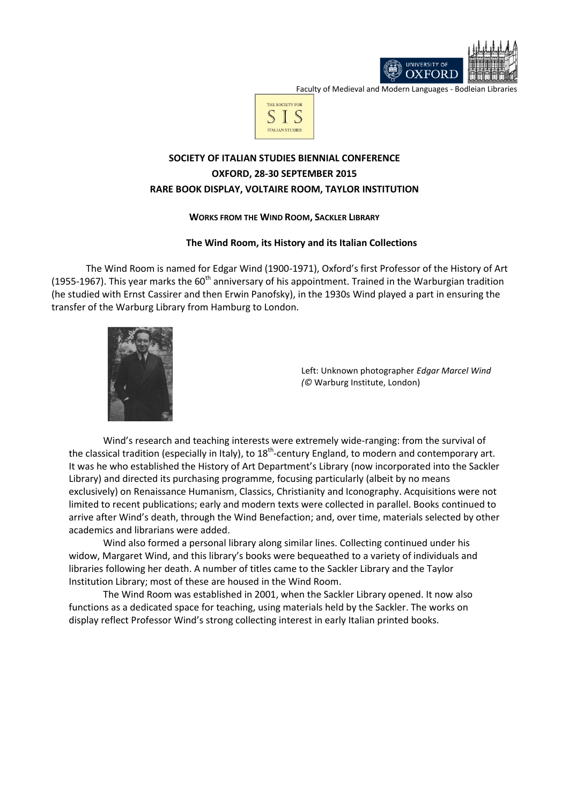

Faculty of Medieval and Modern Languages - Bodleian Libraries



# **SOCIETY OF ITALIAN STUDIES BIENNIAL CONFERENCE OXFORD, 28-30 SEPTEMBER 2015 RARE BOOK DISPLAY, VOLTAIRE ROOM, TAYLOR INSTITUTION**

## **WORKS FROM THE WIND ROOM, SACKLER LIBRARY**

## **The Wind Room, its History and its Italian Collections**

The Wind Room is named for Edgar Wind (1900-1971), Oxford's first Professor of the History of Art (1955-1967). This year marks the 60<sup>th</sup> anniversary of his appointment. Trained in the Warburgian tradition (he studied with Ernst Cassirer and then Erwin Panofsky), in the 1930s Wind played a part in ensuring the transfer of the Warburg Library from Hamburg to London.



Left: Unknown photographer *Edgar Marcel Wind (©* Warburg Institute, London)

Wind's research and teaching interests were extremely wide-ranging: from the survival of the classical tradition (especially in Italy), to 18<sup>th</sup>-century England, to modern and contemporary art. It was he who established the History of Art Department's Library (now incorporated into the Sackler Library) and directed its purchasing programme, focusing particularly (albeit by no means exclusively) on Renaissance Humanism, Classics, Christianity and Iconography. Acquisitions were not limited to recent publications; early and modern texts were collected in parallel. Books continued to arrive after Wind's death, through the Wind Benefaction; and, over time, materials selected by other academics and librarians were added.

Wind also formed a personal library along similar lines. Collecting continued under his widow, Margaret Wind, and this library's books were bequeathed to a variety of individuals and libraries following her death. A number of titles came to the Sackler Library and the Taylor Institution Library; most of these are housed in the Wind Room.

The Wind Room was established in 2001, when the Sackler Library opened. It now also functions as a dedicated space for teaching, using materials held by the Sackler. The works on display reflect Professor Wind's strong collecting interest in early Italian printed books.